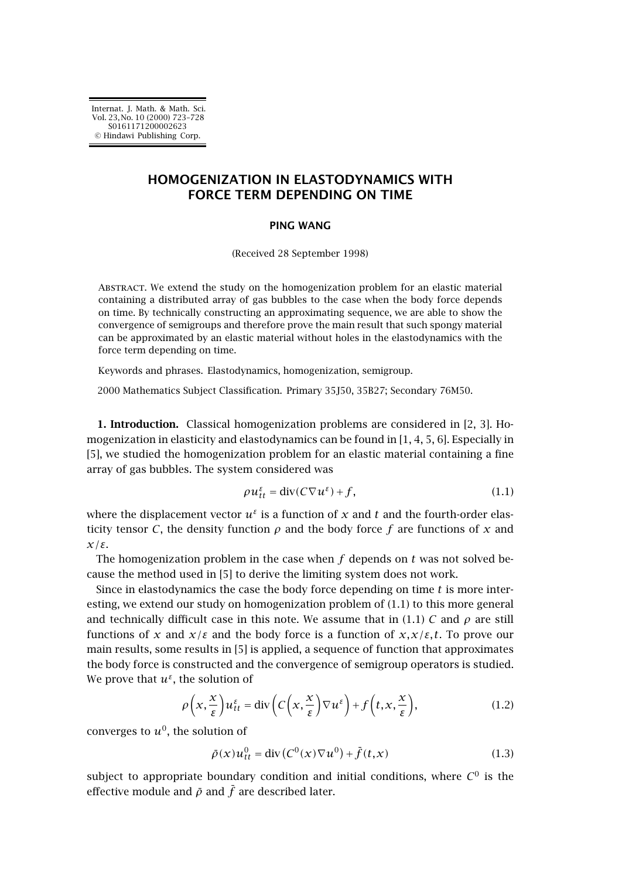# **HOMOGENIZATION IN ELASTODYNAMICS WITH FORCE TERM DEPENDING ON TIME**

#### **PING WANG**

(Received 28 September 1998)

ABSTRACT. We extend the study on the homogenization problem for an elastic material containing a distributed array of gas bubbles to the case when the body force depends on time. By technically constructing an approximating sequence, we are able to show the convergence of semigroups and therefore prove the main result that such spongy material can be approximated by an elastic material without holes in the elastodynamics with the force term depending on time.

Keywords and phrases. Elastodynamics, homogenization, semigroup.

2000 Mathematics Subject Classification. Primary 35J50, 35B27; Secondary 76M50.

**1. Introduction.** Classical homogenization problems are considered in [\[2,](#page-4-0) [3\]](#page-5-0). Homogenization in elasticity and elastodynamics can be found in  $[1, 4, 5, 6]$  $[1, 4, 5, 6]$ . Especially in [\[5\]](#page-5-0), we studied the homogenization problem for an elastic material containing a fine array of gas bubbles. The system considered was

$$
\rho u_{tt}^{\varepsilon} = \text{div}(C\nabla u^{\varepsilon}) + f,\tag{1.1}
$$

where the displacement vector  $u^{\varepsilon}$  is a function of x and t and the fourth-order elasticity tensor *C*, the density function  $\rho$  and the body force *f* are functions of *x* and *x/ε*.

The homogenization problem in the case when  $f$  depends on  $t$  was not solved be-cause the method used in [\[5\]](#page-5-0) to derive the limiting system does not work.

Since in elastodynamics the case the body force depending on time *t* is more interesting, we extend our study on homogenization problem of  $(1.1)$  to this more general and technically difficult case in this note. We assume that in (1.1) *C* and  $\rho$  are still functions of *x* and  $x/\varepsilon$  and the body force is a function of  $x, x/\varepsilon$ , t. To prove our main results, some results in [\[5\]](#page-5-0) is applied, a sequence of function that approximates the body force is constructed and the convergence of semigroup operators is studied. We prove that  $u^{\varepsilon}$ , the solution of

$$
\rho\left(x,\frac{x}{\varepsilon}\right)u_{tt}^{\varepsilon} = \text{div}\left(C\left(x,\frac{x}{\varepsilon}\right)\nabla u^{\varepsilon}\right) + f\left(t,x,\frac{x}{\varepsilon}\right),\tag{1.2}
$$

converges to  $u^0$ , the solution of

$$
\bar{\rho}(x)u_{tt}^0 = \text{div}(C^0(x)\nabla u^0) + \bar{f}(t,x) \tag{1.3}
$$

subject to appropriate boundary condition and initial conditions, where  $C^0$  is the effective module and  $\bar{\rho}$  and  $\bar{f}$  are described later.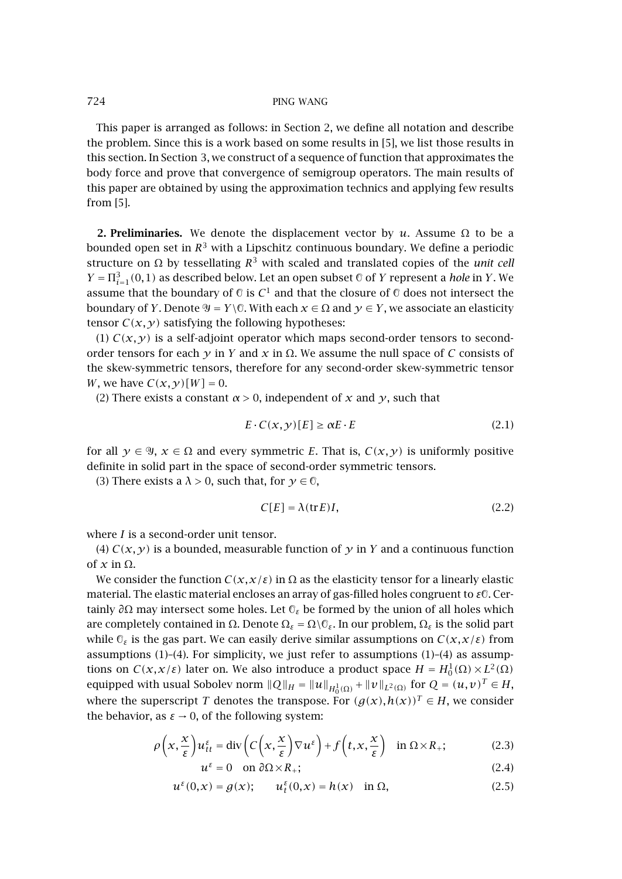## <span id="page-1-0"></span>724 PING WANG

This paper is arranged as follows: in Section 2, we define all notation and describe the problem. Since this is a work based on some results in [\[5\]](#page-5-0), we list those results in this section. In [Section 3,](#page-3-0) we construct of a sequence of function that approximates the body force and prove that convergence of semigroup operators. The main results of this paper are obtained by using the approximation technics and applying few results from [\[5\]](#page-5-0).

**2. Preliminaries.** We denote the displacement vector by *u*. Assume  $\Omega$  to be a bounded open set in *R*<sup>3</sup> with a Lipschitz continuous boundary. We define a periodic structure on  $\Omega$  by tessellating  $R^3$  with scaled and translated copies of the *unit cell*  $Y = \prod_{i=1}^{3} (0,1)$  as described below. Let an open subset 0 of *Y* represent a *hole* in *Y*. We assume that the boundary of  $\mathbb O$  is  $C^1$  and that the closure of  $\mathbb O$  does not intersect the boundary of *Y*. Denote  $\Psi = Y \backslash \mathbb{C}$ . With each  $x \in \Omega$  and  $y \in Y$ , we associate an elasticity tensor  $C(x, y)$  satisfying the following hypotheses:

(1)  $C(x, y)$  is a self-adjoint operator which maps second-order tensors to secondorder tensors for each *y* in *Y* and *x* in  $Ω$ . We assume the null space of *C* consists of the skew-symmetric tensors, therefore for any second-order skew-symmetric tensor *W*, we have  $C(x, y)[W] = 0$ .

(2) There exists a constant  $\alpha > 0$ , independent of x and  $\gamma$ , such that

$$
E \cdot C(x, y)[E] \ge \alpha E \cdot E \tag{2.1}
$$

for all  $y \in \mathcal{Y}, x \in \Omega$  and every symmetric *E*. That is,  $C(x, y)$  is uniformly positive definite in solid part in the space of second-order symmetric tensors.

(3) There exists a  $\lambda > 0$ , such that, for  $\gamma \in \mathbb{O}$ ,

$$
C[E] = \lambda(\text{tr}E)I,\tag{2.2}
$$

where *I* is a second-order unit tensor.

(4)  $C(x, y)$  is a bounded, measurable function of y in Y and a continuous function of  $x$  in  $\Omega$ .

We consider the function  $C(x, x/\varepsilon)$  in  $\Omega$  as the elasticity tensor for a linearly elastic material. The elastic material encloses an array of gas-filled holes congruent to *ε*. Certainly *∂*Ω may intersect some holes. Let *ε* be formed by the union of all holes which are completely contained in Ω. Denote  $\Omega_{\epsilon} = \Omega \setminus \mathbb{O}_{\epsilon}$ . In our problem,  $\Omega_{\epsilon}$  is the solid part while  $\mathcal{C}_{\varepsilon}$  is the gas part. We can easily derive similar assumptions on  $C(x, x/\varepsilon)$  from assumptions  $(1)-(4)$ . For simplicity, we just refer to assumptions  $(1)-(4)$  as assumptions on  $C(x, x/\varepsilon)$  later on. We also introduce a product space  $H = H_0^1(\Omega) \times L^2(\Omega)$ equipped with usual Sobolev norm  $||Q||_H = ||u||_{H_0^1(\Omega)} + ||v||_{L^2(\Omega)}$  for  $Q = (u, v)^T \in H$ , where the superscript *T* denotes the transpose. For  $(g(x), h(x))^T \in H$ , we consider the behavior, as  $\varepsilon \to 0$ , of the following system:

$$
\rho\left(x,\frac{x}{\varepsilon}\right)u_{tt}^{\varepsilon} = \text{div}\left(C\left(x,\frac{x}{\varepsilon}\right)\nabla u^{\varepsilon}\right) + f\left(t,x,\frac{x}{\varepsilon}\right) \quad \text{in } \Omega \times R_+;\tag{2.3}
$$

$$
u^{\varepsilon} = 0 \quad \text{on } \partial\Omega \times R_+;\tag{2.4}
$$

$$
u^{\varepsilon}(0,x) = g(x); \qquad u^{\varepsilon}_t(0,x) = h(x) \quad \text{in } \Omega,
$$
\n(2.5)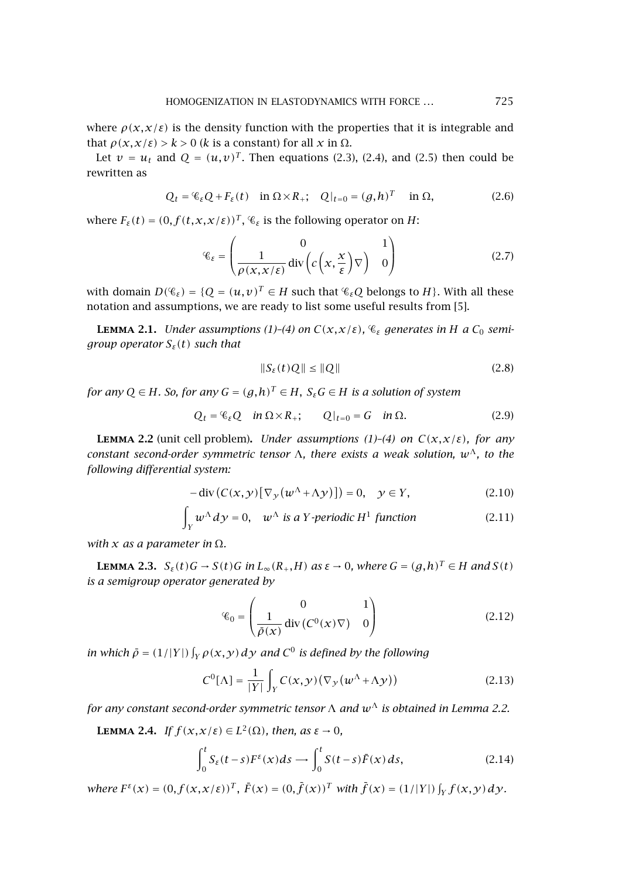<span id="page-2-0"></span>where  $\rho(x, x/\varepsilon)$  is the density function with the properties that it is integrable and that *ρ*(*x*,*x*/ $ε$ ) >  $k$  > 0 ( $k$  is a constant) for all *x* in  $Ω$ .

Let  $v = u_t$  and  $Q = (u, v)^T$ . Then equations [\(2.3\)](#page-1-0), [\(2.4\)](#page-1-0), and [\(2.5\)](#page-1-0) then could be rewritten as

$$
Q_t = \mathcal{C}_{\varepsilon} Q + F_{\varepsilon}(t) \quad \text{in } \Omega \times R_+; \quad Q|_{t=0} = (g, h)^T \quad \text{in } \Omega, \tag{2.6}
$$

where  $F_{\varepsilon}(t) = (0, f(t, x, x/\varepsilon))^T$ ,  $\mathcal{C}_{\varepsilon}$  is the following operator on *H*:

$$
\mathcal{C}_{\varepsilon} = \begin{pmatrix} 0 & 1 \\ \frac{1}{\rho(x, x/\varepsilon)} \operatorname{div} \left( c \left( x, \frac{x}{\varepsilon} \right) \nabla \right) & 0 \end{pmatrix}
$$
 (2.7)

with domain  $D(\mathscr{C}_{\varepsilon}) = \{Q = (u,v)^T \in H \text{ such that } \mathscr{C}_{\varepsilon}Q \text{ belongs to } H\}$ . With all these notation and assumptions, we are ready to list some useful results from [\[5\]](#page-5-0).

**LEMMA 2.1.** *Under assumptions (1)–(4) on*  $C(x, x/\varepsilon)$ *,*  $\mathcal{C}_{\varepsilon}$  *generates in H a*  $C_0$  *semigroup operator Sε(t) such that*

$$
||S_{\varepsilon}(t)Q|| \le ||Q|| \tag{2.8}
$$

*for any*  $Q \in H$ *. So, for any*  $G = (g,h)^T \in H$ ,  $S_{\varepsilon}G \in H$  *is a solution of system* 

$$
Q_t = \mathcal{C}_{\varepsilon} Q \quad \text{in } \Omega \times R_+; \qquad Q|_{t=0} = G \quad \text{in } \Omega. \tag{2.9}
$$

**LEMMA 2.2** (unit cell problem). *Under assumptions (1)-(4) on*  $C(x, x/\varepsilon)$ *, for any constant second-order symmetric tensor* Λ*, there exists a weak solution, w*Λ*, to the following differential system:*

$$
- \operatorname{div} \left( C(x, y) \left[ \nabla_y \left( w^\Lambda + \Lambda y \right) \right] \right) = 0, \quad y \in Y,
$$
\n(2.10)

$$
\int_{Y} w^{\Lambda} dy = 0, \quad w^{\Lambda} \text{ is a } Y \text{-periodic } H^{1} \text{ function}
$$
\n(2.11)

*with*  $x$  *as a parameter in*  $\Omega$ *.* 

**LEMMA 2.3.**  $S_{\varepsilon}(t)G \to S(t)G$  *in*  $L_{\infty}(R_+,H)$  *as*  $\varepsilon \to 0$ *, where*  $G = (g,h)^T \in H$  *and*  $S(t)$ *is a semigroup operator generated by*

$$
\mathcal{C}_0 = \begin{pmatrix} 0 & 1 \\ \frac{1}{\rho(x)} \operatorname{div} (C^0(x) \nabla) & 0 \end{pmatrix}
$$
 (2.12)

*in which*  $\bar{\rho} = (1/|Y|) \int_Y \rho(x, y) dy$  and  $C^0$  *is defined by the following* 

$$
C^{0}[\Lambda] = \frac{1}{|Y|} \int_{Y} C(x, y) (\nabla_{y} (w^{\Lambda} + \Lambda y))
$$
\n(2.13)

*for any constant second-order symmetric tensor*  $\Lambda$  *and*  $w^{\Lambda}$  *is obtained in Lemma 2.2.* 

**LEMMA 2.4.** *If*  $f(x,x/\varepsilon) \in L^2(\Omega)$ *, then, as*  $\varepsilon \to 0$ *,* 

$$
\int_0^t S_{\varepsilon}(t-s) F^{\varepsilon}(x) ds \longrightarrow \int_0^t S(t-s) \bar{F}(x) ds,
$$
\n(2.14)

where  $F^{\varepsilon}(x) = (0, f(x, x/\varepsilon))^T$ ,  $\overline{F}(x) = (0, \overline{f}(x))^T$  with  $\overline{f}(x) = (1/|Y|) \int_Y f(x, y) dy$ .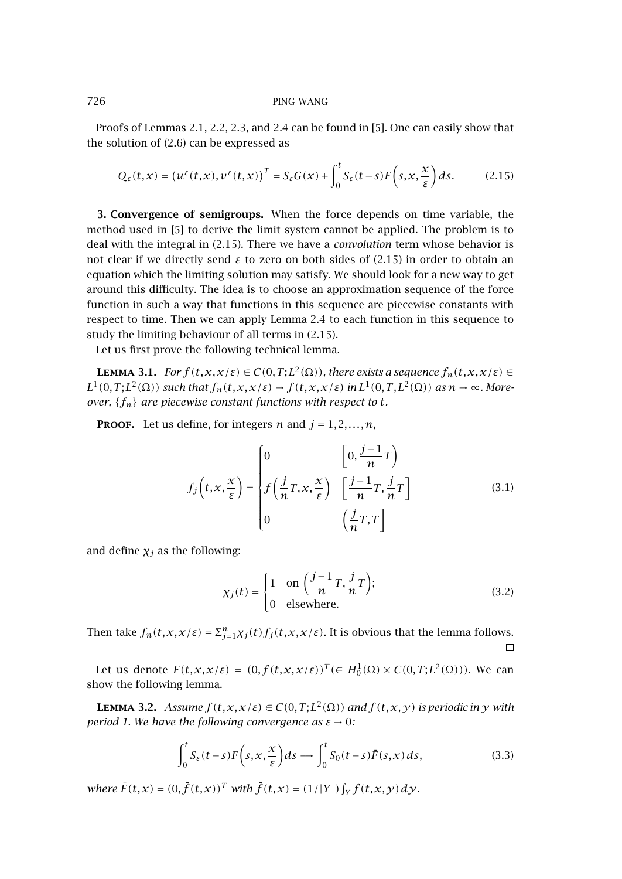## <span id="page-3-0"></span>726 PING WANG

Proofs of Lemmas  $2.1, 2.2, 2.3$ , and  $2.4$  can be found in [\[5\]](#page-5-0). One can easily show that the solution of [\(2.6\)](#page-2-0) can be expressedas

$$
Q_{\varepsilon}(t,x) = (u^{\varepsilon}(t,x), v^{\varepsilon}(t,x))^{T} = S_{\varepsilon}G(x) + \int_{0}^{t} S_{\varepsilon}(t-s)F\left(s, x, \frac{x}{\varepsilon}\right)ds.
$$
 (2.15)

**3. Convergence of semigroups.** When the force depends on time variable, the method used in [\[5\]](#page-5-0) to derive the limit system cannot be applied. The problem is to deal with the integral in (2.15). There we have a *convolution* term whose behavior is not clear if we directly send *ε* to zero on both sides of (2.15) in order to obtain an equation which the limiting solution may satisfy. We should look for a new way to get around this difficulty. The idea is to choose an approximation sequence of the force function in such a way that functions in this sequence are piecewise constants with respect to time. Then we can apply [Lemma 2.4](#page-2-0) to each function in this sequence to study the limiting behaviour of all terms in (2.15).

Let us first prove the following technical lemma.

**LEMMA** 3.1. *For*  $f(t, x, x/\varepsilon) \in C(0, T; L^2(\Omega))$ , there exists a sequence  $f_n(t, x, x/\varepsilon) \in$  $L^1(0,T;L^2(\Omega))$  *such that*  $f_n(t,x,x/\varepsilon) \to f(t,x,x/\varepsilon)$  *in*  $L^1(0,T,L^2(\Omega))$  *as*  $n \to \infty$ *. Moreover,* {*fn*} *are piecewise constant functions with respect to t.*

**PROOF.** Let us define, for integers *n* and  $j = 1, 2, ..., n$ ,

$$
f_j\left(t, x, \frac{x}{\varepsilon}\right) = \begin{cases} 0 & \left[0, \frac{j-1}{n}T\right) \\ f\left(\frac{j}{n}T, x, \frac{x}{\varepsilon}\right) & \left[\frac{j-1}{n}T, \frac{j}{n}T\right] \\ 0 & \left(\frac{j}{n}T, T\right) \end{cases}
$$
(3.1)

and define  $\chi_j$  as the following:

$$
\chi_j(t) = \begin{cases} 1 & \text{on } \left(\frac{j-1}{n}T, \frac{j}{n}T\right); \\ 0 & \text{elsewhere.} \end{cases}
$$
 (3.2)

Then take  $f_n(t, x, x/\varepsilon) = \sum_{j=1}^n \chi_j(t) f_j(t, x, x/\varepsilon)$ . It is obvious that the lemma follows.  $\Box$ 

Let us denote  $F(t, x, x/\varepsilon) = (0, f(t, x, x/\varepsilon))^T (\in H_0^1(\Omega) \times C(0, T; L^2(\Omega)))$ . We can show the following lemma.

**LEMMA** 3.2. *Assume*  $f(t, x, x/\varepsilon) \in C(0, T; L^2(\Omega))$  and  $f(t, x, y)$  is periodic in y with *period 1. We have the following convergence as*  $\varepsilon \to 0$ *:* 

$$
\int_0^t S_{\varepsilon}(t-s) F\left(s, x, \frac{x}{\varepsilon}\right) ds \longrightarrow \int_0^t S_0(t-s) \bar{F}(s, x) ds,
$$
\n(3.3)

*where*  $\bar{F}(t, x) = (0, \bar{f}(t, x))^T$  *with*  $\bar{f}(t, x) = (1/|Y|) \int_Y f(t, x, y) dy$ *.*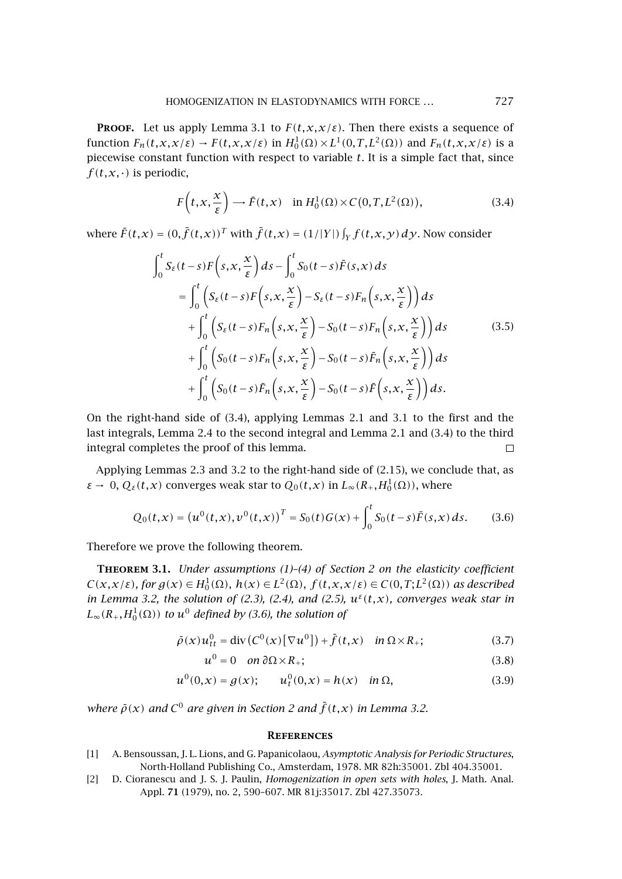<span id="page-4-0"></span>**PROOF.** Let us apply [Lemma 3.1](#page-3-0) to  $F(t, x, x/\varepsilon)$ . Then there exists a sequence of function  $F_n(t, x, x/\varepsilon) \to F(t, x, x/\varepsilon)$  in  $H_0^1(\Omega) \times L^1(0, T, L^2(\Omega))$  and  $F_n(t, x, x/\varepsilon)$  is a piecewise constant function with respect to variable *t*. It is a simple fact that, since  $f(t, x, \cdot)$  is periodic,

$$
F\left(t, x, \frac{x}{\varepsilon}\right) \longrightarrow \bar{F}(t, x) \quad \text{in } H_0^1(\Omega) \times C(0, T, L^2(\Omega)),\tag{3.4}
$$

where  $\bar{F}(t,x) = (0,\bar{f}(t,x))^T$  with  $\bar{f}(t,x) = (1/|Y|)\int_Y f(t,x,y) dy$ . Now consider

$$
\int_{0}^{t} S_{\varepsilon}(t-s) F\left(s, x, \frac{x}{\varepsilon}\right) ds - \int_{0}^{t} S_{0}(t-s) \bar{F}(s, x) ds
$$
\n
$$
= \int_{0}^{t} \left( S_{\varepsilon}(t-s) F\left(s, x, \frac{x}{\varepsilon}\right) - S_{\varepsilon}(t-s) F_{n}\left(s, x, \frac{x}{\varepsilon}\right) \right) ds
$$
\n
$$
+ \int_{0}^{t} \left( S_{\varepsilon}(t-s) F_{n}\left(s, x, \frac{x}{\varepsilon}\right) - S_{0}(t-s) F_{n}\left(s, x, \frac{x}{\varepsilon}\right) \right) ds
$$
\n
$$
+ \int_{0}^{t} \left( S_{0}(t-s) F_{n}\left(s, x, \frac{x}{\varepsilon}\right) - S_{0}(t-s) \bar{F}_{n}\left(s, x, \frac{x}{\varepsilon}\right) \right) ds
$$
\n
$$
+ \int_{0}^{t} \left( S_{0}(t-s) \bar{F}_{n}\left(s, x, \frac{x}{\varepsilon}\right) - S_{0}(t-s) \bar{F}\left(s, x, \frac{x}{\varepsilon}\right) \right) ds.
$$
\n(3.5)

On the right-hand side of  $(3.4)$ , applying Lemmas [2.1](#page-2-0) and [3.1](#page-3-0) to the first and the last integrals, [Lemma 2.4](#page-2-0) to the second integral and [Lemma 2.1](#page-2-0) and (3.4) to the third integral completes the proof of this lemma.  $\Box$ 

Applying Lemmas [2.3](#page-2-0) and [3.2](#page-3-0) to the right-hand side of  $(2.15)$ , we conclude that, as *ε* → 0,  $Q_ε(t, x)$  converges weak star to  $Q_0(t, x)$  in  $L_∞(R_+, H_0^1(Ω))$ , where

$$
Q_0(t,x) = (u^0(t,x), v^0(t,x))^T = S_0(t)G(x) + \int_0^t S_0(t-s)\bar{F}(s,x) ds.
$$
 (3.6)

Therefore we prove the following theorem.

**Theorem 3.1.** *Under assumptions (1)–(4) of [Section 2](#page-1-0) on the elasticity coefficient*  $C(x, x/\varepsilon)$ *, for*  $g(x) \in H_0^1(\Omega)$ *,*  $h(x) \in L^2(\Omega)$ *,*  $f(t, x, x/\varepsilon) \in C(0, T; L^2(\Omega))$  *as described in* [Lemma 3.2,](#page-3-0) the solution of [\(2.3\)](#page-1-0), [\(2.4\)](#page-1-0), and [\(2.5\)](#page-1-0),  $u^{\varepsilon}(t,x)$ , converges weak star in  $L_\infty(R_+, H_0^1(\Omega))$  *to*  $u^0$  *defined by (3.6), the solution of* 

$$
\bar{\rho}(x)u_{tt}^0 = \text{div}\left(C^0(x)\left[\nabla u^0\right]\right) + \bar{f}(t,x) \quad \text{in } \Omega \times R_+;\tag{3.7}
$$

$$
u^0 = 0 \quad on \ \partial\Omega \times R_+;\tag{3.8}
$$

$$
u^{0}(0,x) = g(x); \t u_{t}^{0}(0,x) = h(x) \t in \Omega,
$$
\t(3.9)

*where*  $\bar{\rho}(x)$  and  $C^0$  are given in [Section 2](#page-1-0) and  $\bar{f}(t,x)$  in [Lemma 3.2.](#page-3-0)

#### **References**

- [1] A. Bensoussan, J. L. Lions, andG. Papanicolaou, *Asymptotic Analysis for Periodic Structures*, North-Holland Publishing Co., Amsterdam, 1978. [MR 82h:35001.](http://www.ams.org/mathscinet-getitem?mr=82h:35001) [Zbl 404.35001.](http://www.emis.de/cgi-bin/MATH-item?404.35001)
- [2] D. Cioranescu andJ. S. J. Paulin, *Homogenization in open sets with holes*, J. Math. Anal. Appl. **71** (1979), no. 2, 590–607. [MR 81j:35017.](http://www.ams.org/mathscinet-getitem?mr=81j:35017) [Zbl 427.35073.](http://www.emis.de/cgi-bin/MATH-item?427.35073)